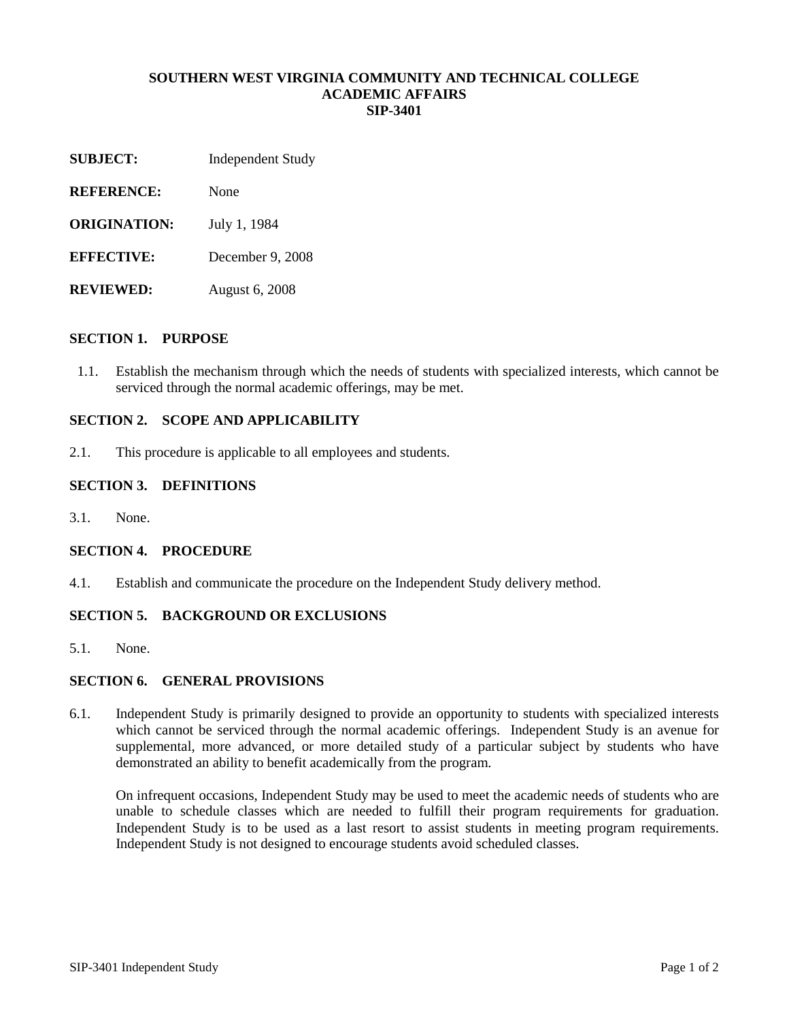### **SOUTHERN WEST VIRGINIA COMMUNITY AND TECHNICAL COLLEGE ACADEMIC AFFAIRS SIP-3401**

- **SUBJECT:** Independent Study
- **REFERENCE:** None
- **ORIGINATION:** July 1, 1984
- **EFFECTIVE:** December 9, 2008
- **REVIEWED:** August 6, 2008

#### **SECTION 1. PURPOSE**

1.1. Establish the mechanism through which the needs of students with specialized interests, which cannot be serviced through the normal academic offerings, may be met.

# **SECTION 2. SCOPE AND APPLICABILITY**

2.1. This procedure is applicable to all employees and students.

#### **SECTION 3. DEFINITIONS**

3.1. None.

### **SECTION 4. PROCEDURE**

4.1. Establish and communicate the procedure on the Independent Study delivery method.

## **SECTION 5. BACKGROUND OR EXCLUSIONS**

5.1. None.

# **SECTION 6. GENERAL PROVISIONS**

6.1. Independent Study is primarily designed to provide an opportunity to students with specialized interests which cannot be serviced through the normal academic offerings. Independent Study is an avenue for supplemental, more advanced, or more detailed study of a particular subject by students who have demonstrated an ability to benefit academically from the program.

On infrequent occasions, Independent Study may be used to meet the academic needs of students who are unable to schedule classes which are needed to fulfill their program requirements for graduation. Independent Study is to be used as a last resort to assist students in meeting program requirements. Independent Study is not designed to encourage students avoid scheduled classes.